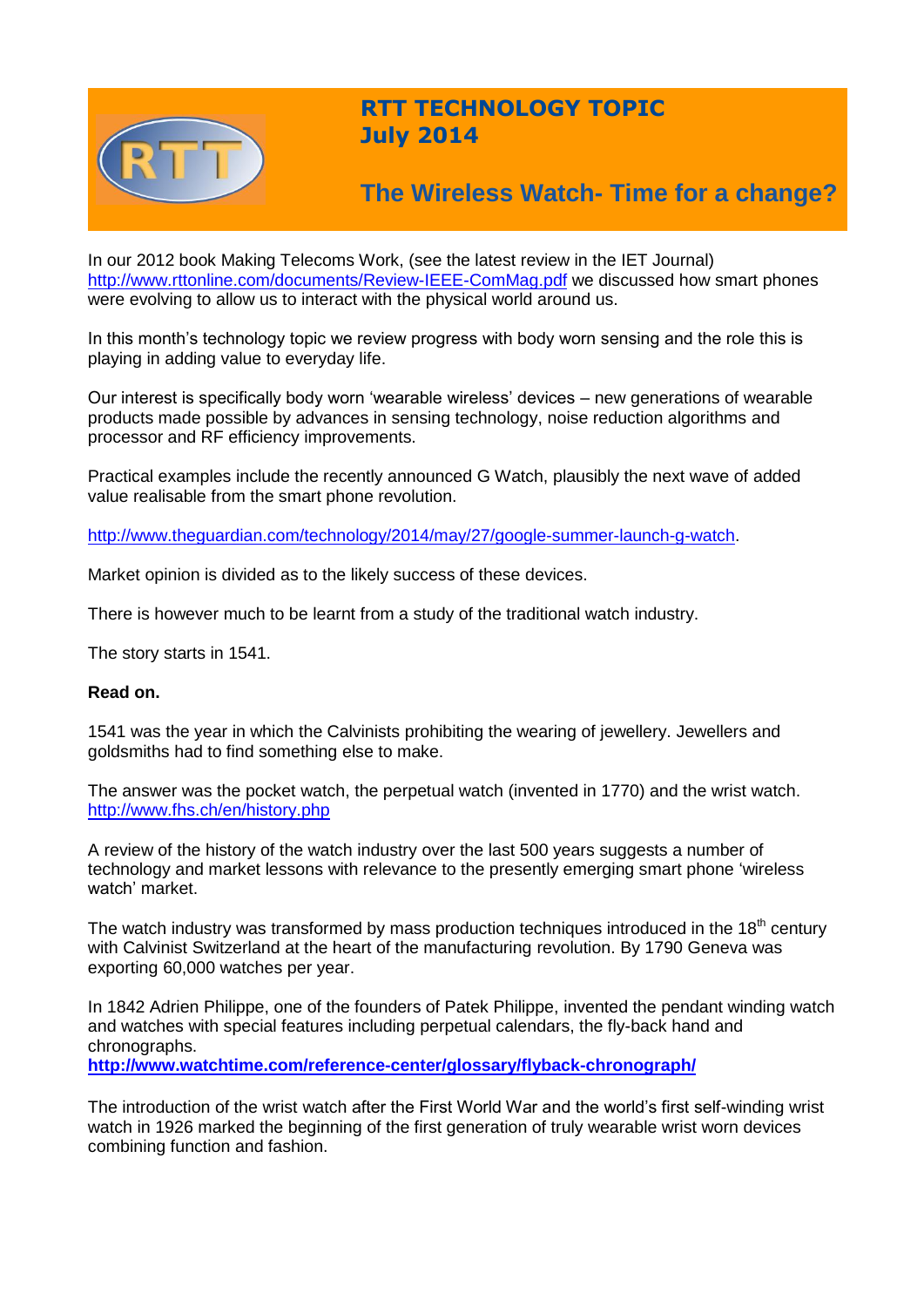

## **RTT TECHNOLOGY TOPIC July 2014**

# **The Wireless Watch- Time for a change?**

In our 2012 book Making Telecoms Work, (see the latest review in the IET Journal) <http://www.rttonline.com/documents/Review-IEEE-ComMag.pdf> we discussed how smart phones were evolving to allow us to interact with the physical world around us.

In this month's technology topic we review progress with body worn sensing and the role this is playing in adding value to everyday life.

Our interest is specifically body worn 'wearable wireless' devices – new generations of wearable products made possible by advances in sensing technology, noise reduction algorithms and processor and RF efficiency improvements.

Practical examples include the recently announced G Watch, plausibly the next wave of added value realisable from the smart phone revolution.

[http://www.theguardian.com/technology/2014/may/27/google-summer-launch-g-watch.](http://www.theguardian.com/technology/2014/may/27/google-summer-launch-g-watch)

Market opinion is divided as to the likely success of these devices.

There is however much to be learnt from a study of the traditional watch industry.

The story starts in 1541.

#### **Read on.**

1541 was the year in which the Calvinists prohibiting the wearing of jewellery. Jewellers and goldsmiths had to find something else to make.

The answer was the pocket watch, the perpetual watch (invented in 1770) and the wrist watch. <http://www.fhs.ch/en/history.php>

A review of the history of the watch industry over the last 500 years suggests a number of technology and market lessons with relevance to the presently emerging smart phone 'wireless watch' market.

The watch industry was transformed by mass production techniques introduced in the  $18<sup>th</sup>$  century with Calvinist Switzerland at the heart of the manufacturing revolution. By 1790 Geneva was exporting 60,000 watches per year.

In 1842 Adrien Philippe, one of the founders of Patek Philippe, invented the pendant winding watch and watches with special features including perpetual calendars, the fly-back hand and chronographs.

**<http://www.watchtime.com/reference-center/glossary/flyback-chronograph/>**

The introduction of the wrist watch after the First World War and the world's first self-winding wrist watch in 1926 marked the beginning of the first generation of truly wearable wrist worn devices combining function and fashion.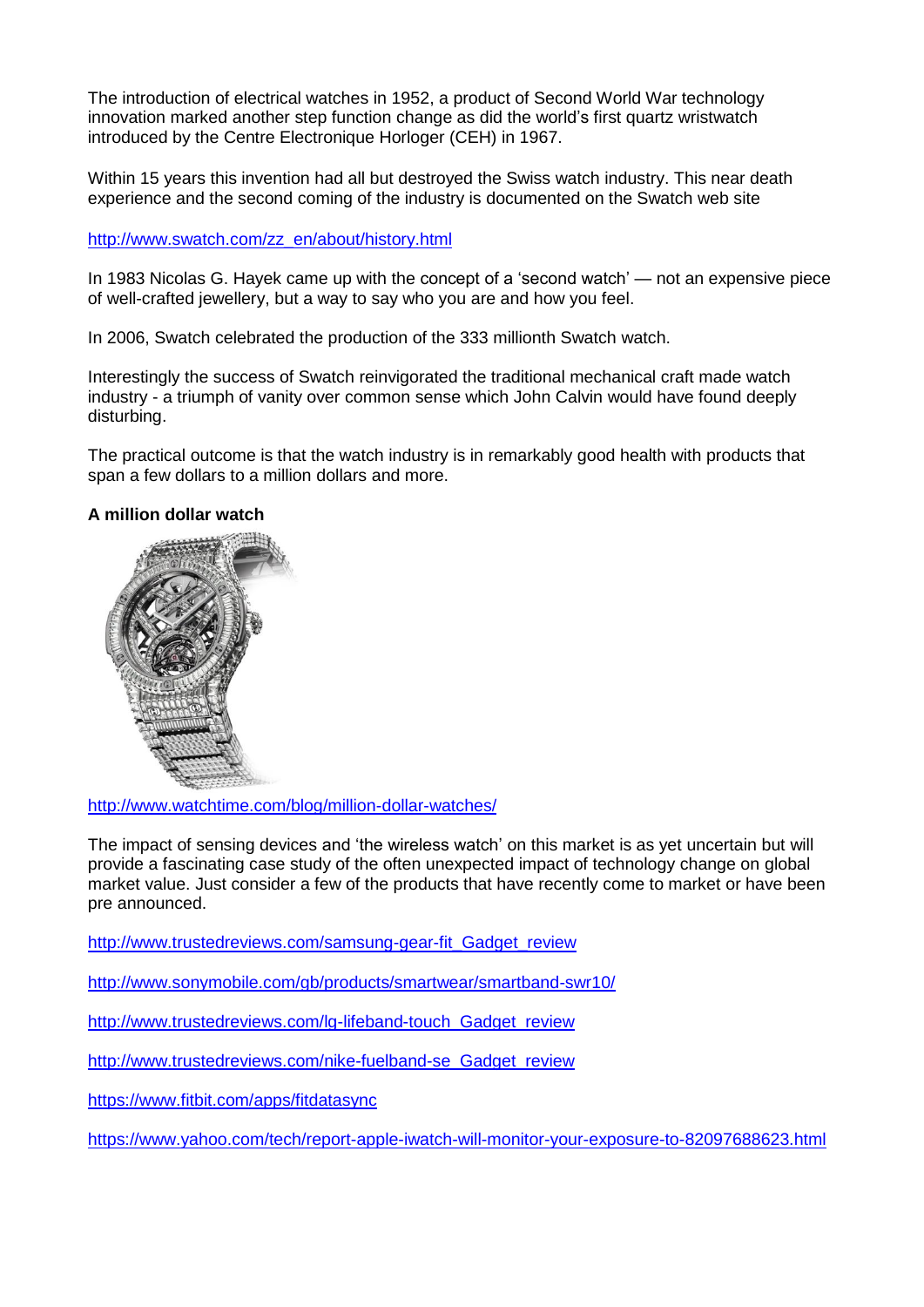The introduction of electrical watches in 1952, a product of Second World War technology innovation marked another step function change as did the world's first quartz wristwatch introduced by the Centre Electronique Horloger (CEH) in 1967.

Within 15 years this invention had all but destroyed the Swiss watch industry. This near death experience and the second coming of the industry is documented on the Swatch web site

[http://www.swatch.com/zz\\_en/about/history.html](http://www.swatch.com/zz_en/about/history.html)

In 1983 Nicolas G. Hayek came up with the concept of a 'second watch' — not an expensive piece of well-crafted jewellery, but a way to say who you are and how you feel.

In 2006, Swatch celebrated the production of the 333 millionth Swatch watch.

Interestingly the success of Swatch reinvigorated the traditional mechanical craft made watch industry - a triumph of vanity over common sense which John Calvin would have found deeply disturbing.

The practical outcome is that the watch industry is in remarkably good health with products that span a few dollars to a million dollars and more.

### **A million dollar watch**



<http://www.watchtime.com/blog/million-dollar-watches/>

The impact of sensing devices and 'the wireless watch' on this market is as yet uncertain but will provide a fascinating case study of the often unexpected impact of technology change on global market value. Just consider a few of the products that have recently come to market or have been pre announced.

[http://www.trustedreviews.com/samsung-gear-fit\\_Gadget\\_review](http://www.trustedreviews.com/samsung-gear-fit_Gadget_review)

<http://www.sonymobile.com/gb/products/smartwear/smartband-swr10/>

[http://www.trustedreviews.com/lg-lifeband-touch\\_Gadget\\_review](http://www.trustedreviews.com/lg-lifeband-touch_Gadget_review)

[http://www.trustedreviews.com/nike-fuelband-se\\_Gadget\\_review](http://www.trustedreviews.com/nike-fuelband-se_Gadget_review)

<https://www.fitbit.com/apps/fitdatasync>

<https://www.yahoo.com/tech/report-apple-iwatch-will-monitor-your-exposure-to-82097688623.html>